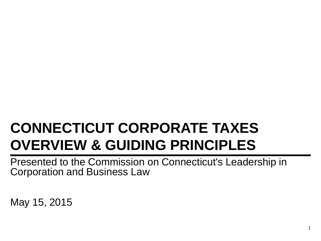# **CONNECTICUT CORPORATE TAXES OVERVIEW & GUIDING PRINCIPLES**

Presented to the Commission on Connecticut's Leadership in Corporation and Business Law

May 15, 2015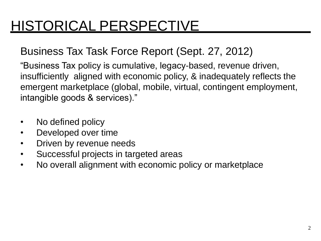## HISTORICAL PERSPECTIVE

### Business Tax Task Force Report (Sept. 27, 2012)

"Business Tax policy is cumulative, legacy-based, revenue driven, insufficiently aligned with economic policy, & inadequately reflects the emergent marketplace (global, mobile, virtual, contingent employment, intangible goods & services)."

- No defined policy
- Developed over time
- Driven by revenue needs
- Successful projects in targeted areas
- No overall alignment with economic policy or marketplace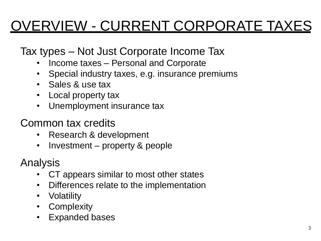# OVERVIEW - CURRENT CORPORATE TAXES

Tax types – Not Just Corporate Income Tax

- Income taxes Personal and Corporate
- Special industry taxes, e.g. insurance premiums
- Sales & use tax
- Local property tax
- Unemployment insurance tax

Common tax credits

- Research & development
- Investment property & people

- CT appears similar to most other states
- Differences relate to the implementation
- Volatility
- Complexity
- Expanded bases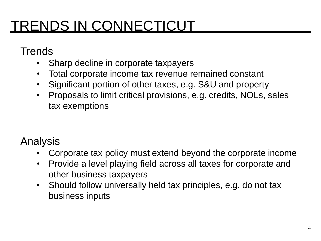## TRENDS IN CONNECTICUT

**Trends** 

- Sharp decline in corporate taxpayers
- Total corporate income tax revenue remained constant
- Significant portion of other taxes, e.g. S&U and property
- Proposals to limit critical provisions, e.g. credits, NOLs, sales tax exemptions

- Corporate tax policy must extend beyond the corporate income
- Provide a level playing field across all taxes for corporate and other business taxpayers
- Should follow universally held tax principles, e.g. do not tax business inputs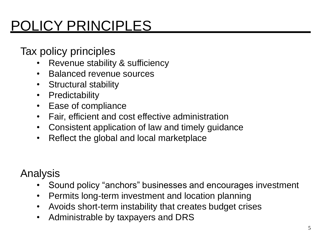# POLICY PRINCIPLES

Tax policy principles

- Revenue stability & sufficiency
- Balanced revenue sources
- Structural stability
- Predictability
- Ease of compliance
- Fair, efficient and cost effective administration
- Consistent application of law and timely guidance
- Reflect the global and local marketplace

- Sound policy "anchors" businesses and encourages investment
- Permits long-term investment and location planning
- Avoids short-term instability that creates budget crises
- Administrable by taxpayers and DRS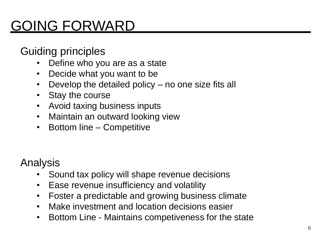# GOING FORWARD

Guiding principles

- Define who you are as a state
- Decide what you want to be
- Develop the detailed policy no one size fits all
- Stay the course
- Avoid taxing business inputs
- Maintain an outward looking view
- Bottom line Competitive

- Sound tax policy will shape revenue decisions
- Ease revenue insufficiency and volatility
- Foster a predictable and growing business climate
- Make investment and location decisions easier
- Bottom Line Maintains competiveness for the state